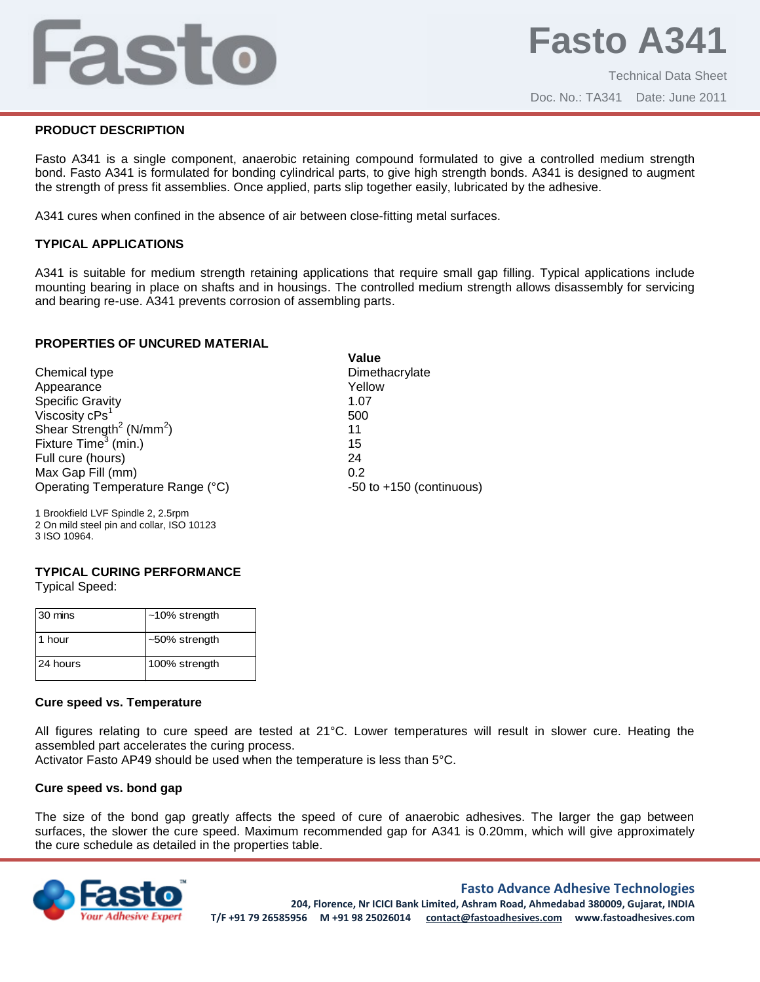# Fasto

## **PRODUCT DESCRIPTION**

Fasto A341 is a single component, anaerobic retaining compound formulated to give a controlled medium strength bond. Fasto A341 is formulated for bonding cylindrical parts, to give high strength bonds. A341 is designed to augment the strength of press fit assemblies. Once applied, parts slip together easily, lubricated by the adhesive.

A341 cures when confined in the absence of air between close-fitting metal surfaces.

### **TYPICAL APPLICATIONS**

A341 is suitable for medium strength retaining applications that require small gap filling. Typical applications include mounting bearing in place on shafts and in housings. The controlled medium strength allows disassembly for servicing and bearing re-use. A341 prevents corrosion of assembling parts.

## **PROPERTIES OF UNCURED MATERIAL**

|                                                  | Value                        |
|--------------------------------------------------|------------------------------|
| Chemical type                                    | Dimethacrylate               |
| Appearance                                       | Yellow                       |
| <b>Specific Gravity</b>                          | 1.07                         |
| Viscosity ${\sf cPs}^1$                          | 500                          |
| Shear Strength <sup>2</sup> (N/mm <sup>2</sup> ) | 11                           |
| Fixture Time <sup>3</sup> (min.)                 | 15                           |
| Full cure (hours)                                | 24                           |
| Max Gap Fill (mm)                                | 0.2                          |
| Operating Temperature Range (°C)                 | $-50$ to $+150$ (continuous) |
|                                                  |                              |

1 Brookfield LVF Spindle 2, 2.5rpm 2 On mild steel pin and collar, ISO 10123 3 ISO 10964.

# **TYPICAL CURING PERFORMANCE**

Typical Speed:

| 30 mins  | $~10\%$ strength |
|----------|------------------|
| 1 hour   | $~50\%$ strength |
| 24 hours | 100% strength    |

#### **Cure speed vs. Temperature**

All figures relating to cure speed are tested at 21°C. Lower temperatures will result in slower cure. Heating the assembled part accelerates the curing process.

Activator Fasto AP49 should be used when the temperature is less than 5°C.

#### **Cure speed vs. bond gap**

The size of the bond gap greatly affects the speed of cure of anaerobic adhesives. The larger the gap between surfaces, the slower the cure speed. Maximum recommended gap for A341 is 0.20mm, which will give approximately the cure schedule as detailed in the properties table.



#### **Fasto Advance Adhesive Technologies**

**204, Florence, Nr ICICI Bank Limited, Ashram Road, Ahmedabad 380009, Gujarat, INDIA T/F +91 79 26585956 M +91 98 25026014 contact@fastoadhesives.com www.fastoadhesives.com**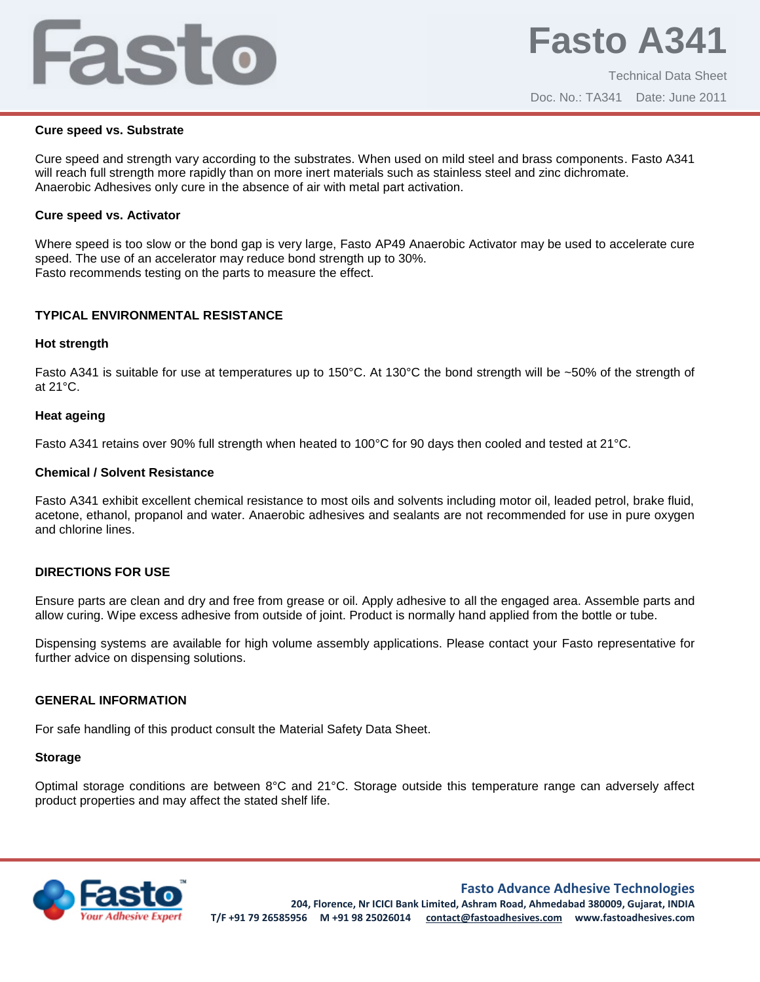# Fasto

#### **Cure speed vs. Substrate**

Cure speed and strength vary according to the substrates. When used on mild steel and brass components. Fasto A341 will reach full strength more rapidly than on more inert materials such as stainless steel and zinc dichromate. Anaerobic Adhesives only cure in the absence of air with metal part activation.

#### **Cure speed vs. Activator**

Where speed is too slow or the bond gap is very large, Fasto AP49 Anaerobic Activator may be used to accelerate cure speed. The use of an accelerator may reduce bond strength up to 30%. Fasto recommends testing on the parts to measure the effect.

# **TYPICAL ENVIRONMENTAL RESISTANCE**

#### **Hot strength**

Fasto A341 is suitable for use at temperatures up to 150°C. At 130°C the bond strength will be ~50% of the strength of at 21°C.

#### **Heat ageing**

Fasto A341 retains over 90% full strength when heated to 100°C for 90 days then cooled and tested at 21°C.

#### **Chemical / Solvent Resistance**

Fasto A341 exhibit excellent chemical resistance to most oils and solvents including motor oil, leaded petrol, brake fluid, acetone, ethanol, propanol and water. Anaerobic adhesives and sealants are not recommended for use in pure oxygen and chlorine lines.

## **DIRECTIONS FOR USE**

Ensure parts are clean and dry and free from grease or oil. Apply adhesive to all the engaged area. Assemble parts and allow curing. Wipe excess adhesive from outside of joint. Product is normally hand applied from the bottle or tube.

Dispensing systems are available for high volume assembly applications. Please contact your Fasto representative for further advice on dispensing solutions.

#### **GENERAL INFORMATION**

For safe handling of this product consult the Material Safety Data Sheet.

#### **Storage**

Optimal storage conditions are between 8°C and 21°C. Storage outside this temperature range can adversely affect product properties and may affect the stated shelf life.



**Fasto Advance Adhesive Technologies**

**204, Florence, Nr ICICI Bank Limited, Ashram Road, Ahmedabad 380009, Gujarat, INDIA T/F +91 79 26585956 M +91 98 25026014 contact@fastoadhesives.com www.fastoadhesives.com**